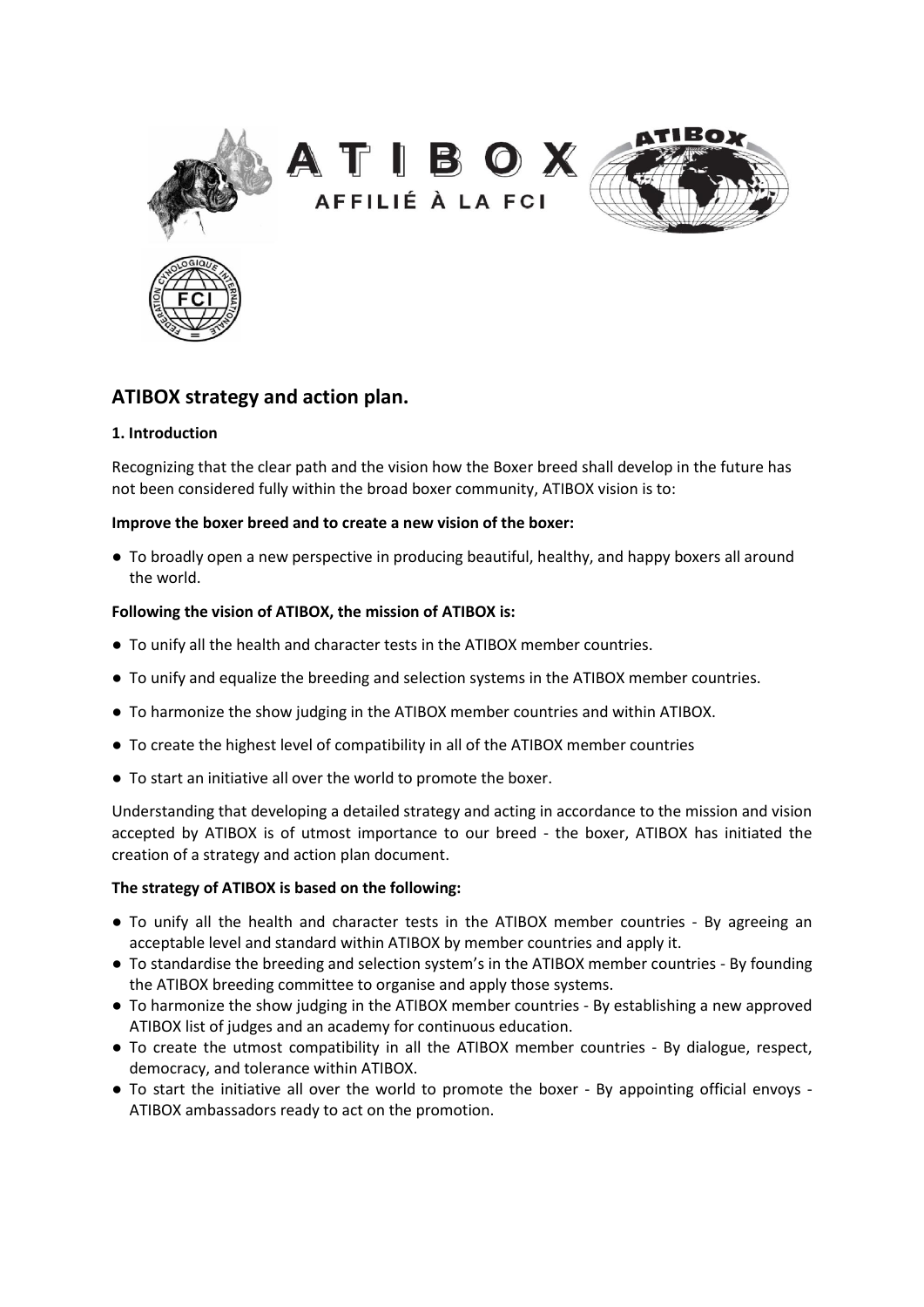







# **ATIBOX strategy and action plan.**

# **1. Introduction**

Recognizing that the clear path and the vision how the Boxer breed shall develop in the future has not been considered fully within the broad boxer community, ATIBOX vision is to:

# **Improve the boxer breed and to create a new vision of the boxer:**

● To broadly open a new perspective in producing beautiful, healthy, and happy boxers all around the world.

# **Following the vision of ATIBOX, the mission of ATIBOX is:**

- To unify all the health and character tests in the ATIBOX member countries.
- To unify and equalize the breeding and selection systems in the ATIBOX member countries.
- To harmonize the show judging in the ATIBOX member countries and within ATIBOX.
- To create the highest level of compatibility in all of the ATIBOX member countries
- To start an initiative all over the world to promote the boxer.

Understanding that developing a detailed strategy and acting in accordance to the mission and vision accepted by ATIBOX is of utmost importance to our breed - the boxer, ATIBOX has initiated the creation of a strategy and action plan document.

#### **The strategy of ATIBOX is based on the following:**

- To unify all the health and character tests in the ATIBOX member countries By agreeing an acceptable level and standard within ATIBOX by member countries and apply it.
- To standardise the breeding and selection system's in the ATIBOX member countries By founding the ATIBOX breeding committee to organise and apply those systems.
- To harmonize the show judging in the ATIBOX member countries By establishing a new approved ATIBOX list of judges and an academy for continuous education.
- To create the utmost compatibility in all the ATIBOX member countries By dialogue, respect, democracy, and tolerance within ATIBOX.
- To start the initiative all over the world to promote the boxer By appointing official envoys ATIBOX ambassadors ready to act on the promotion.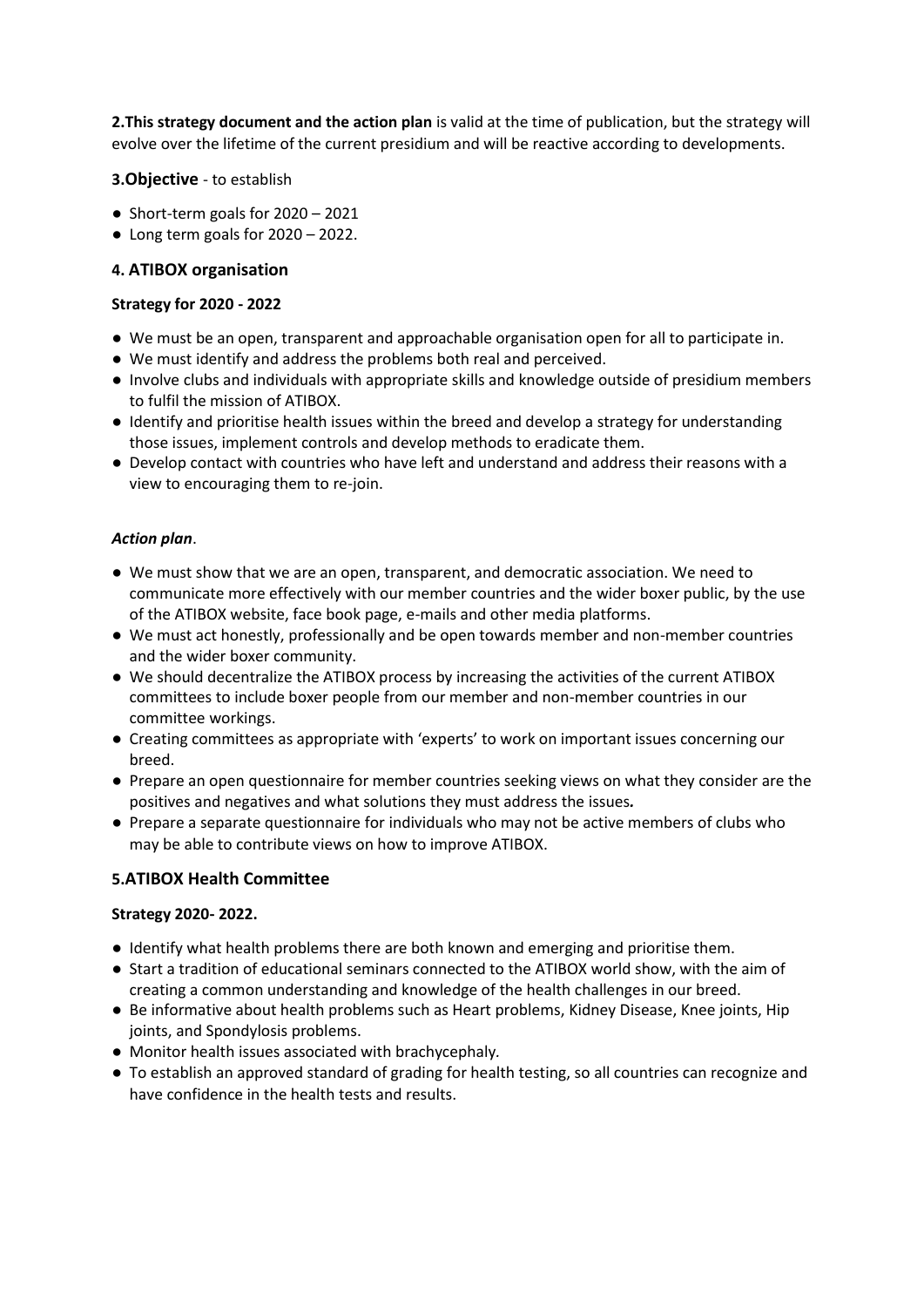**2.This strategy document and the action plan** is valid at the time of publication, but the strategy will evolve over the lifetime of the current presidium and will be reactive according to developments.

# **3.Objective** - to establish

- Short-term goals for 2020 2021
- $\bullet$  Long term goals for 2020 2022.

# **4. ATIBOX organisation**

#### **Strategy for 2020 - 2022**

- We must be an open, transparent and approachable organisation open for all to participate in.
- We must identify and address the problems both real and perceived.
- Involve clubs and individuals with appropriate skills and knowledge outside of presidium members to fulfil the mission of ATIBOX.
- Identify and prioritise health issues within the breed and develop a strategy for understanding those issues, implement controls and develop methods to eradicate them.
- Develop contact with countries who have left and understand and address their reasons with a view to encouraging them to re-join.

#### *Action plan*.

- We must show that we are an open, transparent, and democratic association. We need to communicate more effectively with our member countries and the wider boxer public, by the use of the ATIBOX website, face book page, e-mails and other media platforms.
- We must act honestly, professionally and be open towards member and non-member countries and the wider boxer community.
- We should decentralize the ATIBOX process by increasing the activities of the current ATIBOX committees to include boxer people from our member and non-member countries in our committee workings.
- Creating committees as appropriate with 'experts' to work on important issues concerning our breed.
- Prepare an open questionnaire for member countries seeking views on what they consider are the positives and negatives and what solutions they must address the issues*.*
- Prepare a separate questionnaire for individuals who may not be active members of clubs who may be able to contribute views on how to improve ATIBOX.

#### **5.ATIBOX Health Committee**

#### **Strategy 2020- 2022.**

- Identify what health problems there are both known and emerging and prioritise them.
- Start a tradition of educational seminars connected to the ATIBOX world show, with the aim of creating a common understanding and knowledge of the health challenges in our breed.
- Be informative about health problems such as Heart problems, Kidney Disease, Knee joints, Hip joints, and Spondylosis problems.
- Monitor health issues associated with brachycephaly*.*
- To establish an approved standard of grading for health testing, so all countries can recognize and have confidence in the health tests and results.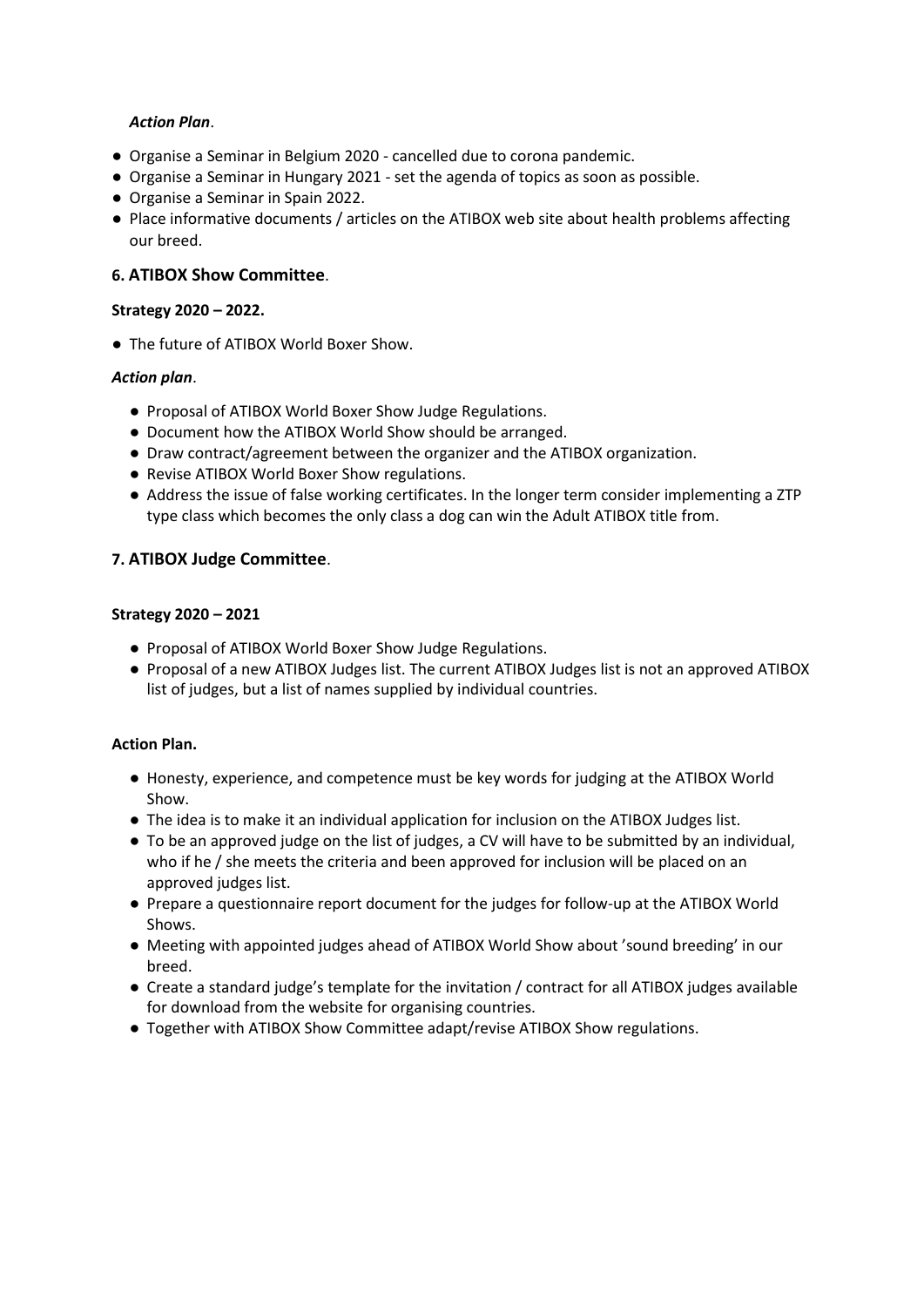## *Action Plan*.

- Organise a Seminar in Belgium 2020 cancelled due to corona pandemic.
- Organise a Seminar in Hungary 2021 set the agenda of topics as soon as possible.
- Organise a Seminar in Spain 2022.
- Place informative documents / articles on the ATIBOX web site about health problems affecting our breed.

# **6. ATIBOX Show Committee**.

## **Strategy 2020 – 2022.**

● The future of ATIBOX World Boxer Show.

# *Action plan*.

- Proposal of ATIBOX World Boxer Show Judge Regulations.
- Document how the ATIBOX World Show should be arranged.
- Draw contract/agreement between the organizer and the ATIBOX organization.
- Revise ATIBOX World Boxer Show regulations.
- Address the issue of false working certificates. In the longer term consider implementing a ZTP type class which becomes the only class a dog can win the Adult ATIBOX title from.

# **7. ATIBOX Judge Committee**.

#### **Strategy 2020 – 2021**

- Proposal of ATIBOX World Boxer Show Judge Regulations.
- Proposal of a new ATIBOX Judges list. The current ATIBOX Judges list is not an approved ATIBOX list of judges, but a list of names supplied by individual countries.

#### **Action Plan.**

- Honesty, experience, and competence must be key words for judging at the ATIBOX World Show.
- The idea is to make it an individual application for inclusion on the ATIBOX Judges list.
- To be an approved judge on the list of judges, a CV will have to be submitted by an individual, who if he / she meets the criteria and been approved for inclusion will be placed on an approved judges list.
- Prepare a questionnaire report document for the judges for follow-up at the ATIBOX World Shows.
- Meeting with appointed judges ahead of ATIBOX World Show about 'sound breeding' in our breed.
- Create a standard judge's template for the invitation / contract for all ATIBOX judges available for download from the website for organising countries.
- Together with ATIBOX Show Committee adapt/revise ATIBOX Show regulations.